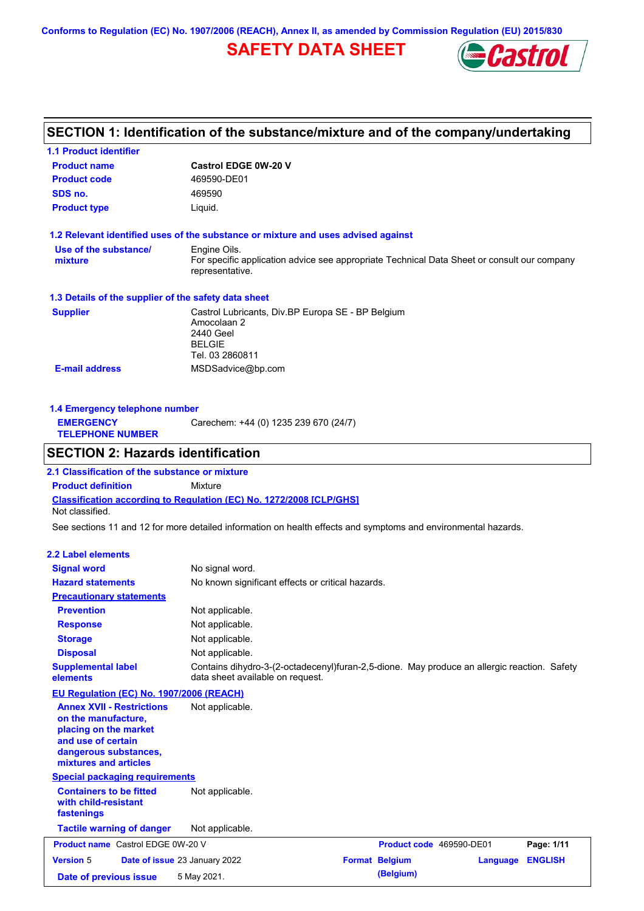**Conforms to Regulation (EC) No. 1907/2006 (REACH), Annex II, as amended by Commission Regulation (EU) 2015/830**

## **SAFETY DATA SHEET**



# **SECTION 1: Identification of the substance/mixture and of the company/undertaking**

| <b>1.1 Product identifier</b>                                                                                                                            |                                                                                                                                 |                          |                 |                |
|----------------------------------------------------------------------------------------------------------------------------------------------------------|---------------------------------------------------------------------------------------------------------------------------------|--------------------------|-----------------|----------------|
| <b>Product name</b>                                                                                                                                      | <b>Castrol EDGE 0W-20 V</b>                                                                                                     |                          |                 |                |
| <b>Product code</b>                                                                                                                                      | 469590-DE01                                                                                                                     |                          |                 |                |
| SDS no.                                                                                                                                                  | 469590                                                                                                                          |                          |                 |                |
| <b>Product type</b>                                                                                                                                      | Liquid.                                                                                                                         |                          |                 |                |
| 1.2 Relevant identified uses of the substance or mixture and uses advised against                                                                        |                                                                                                                                 |                          |                 |                |
| Use of the substance/<br>mixture                                                                                                                         | Engine Oils.<br>For specific application advice see appropriate Technical Data Sheet or consult our company<br>representative.  |                          |                 |                |
| 1.3 Details of the supplier of the safety data sheet                                                                                                     |                                                                                                                                 |                          |                 |                |
| <b>Supplier</b>                                                                                                                                          | Castrol Lubricants, Div.BP Europa SE - BP Belgium<br>Amocolaan 2<br>2440 Geel<br><b>BELGIE</b><br>Tel. 03 2860811               |                          |                 |                |
| <b>E-mail address</b>                                                                                                                                    | MSDSadvice@bp.com                                                                                                               |                          |                 |                |
| 1.4 Emergency telephone number<br><b>EMERGENCY</b><br><b>TELEPHONE NUMBER</b>                                                                            | Carechem: +44 (0) 1235 239 670 (24/7)                                                                                           |                          |                 |                |
| <b>SECTION 2: Hazards identification</b>                                                                                                                 |                                                                                                                                 |                          |                 |                |
| 2.1 Classification of the substance or mixture                                                                                                           |                                                                                                                                 |                          |                 |                |
| <b>Product definition</b>                                                                                                                                | <b>Mixture</b>                                                                                                                  |                          |                 |                |
| <b>Classification according to Regulation (EC) No. 1272/2008 [CLP/GHS]</b><br>Not classified.                                                            |                                                                                                                                 |                          |                 |                |
| See sections 11 and 12 for more detailed information on health effects and symptoms and environmental hazards.                                           |                                                                                                                                 |                          |                 |                |
| <b>2.2 Label elements</b>                                                                                                                                |                                                                                                                                 |                          |                 |                |
| <b>Signal word</b>                                                                                                                                       | No signal word.                                                                                                                 |                          |                 |                |
| <b>Hazard statements</b>                                                                                                                                 | No known significant effects or critical hazards.                                                                               |                          |                 |                |
| <b>Precautionary statements</b>                                                                                                                          |                                                                                                                                 |                          |                 |                |
| <b>Prevention</b>                                                                                                                                        | Not applicable.                                                                                                                 |                          |                 |                |
| <b>Response</b>                                                                                                                                          | Not applicable.                                                                                                                 |                          |                 |                |
| <b>Storage</b>                                                                                                                                           | Not applicable.                                                                                                                 |                          |                 |                |
| <b>Disposal</b>                                                                                                                                          | Not applicable.                                                                                                                 |                          |                 |                |
| <b>Supplemental label</b><br>elements                                                                                                                    | Contains dihydro-3-(2-octadecenyl)furan-2,5-dione. May produce an allergic reaction. Safety<br>data sheet available on request. |                          |                 |                |
| EU Regulation (EC) No. 1907/2006 (REACH)                                                                                                                 |                                                                                                                                 |                          |                 |                |
| <b>Annex XVII - Restrictions</b><br>on the manufacture,<br>placing on the market<br>and use of certain<br>dangerous substances,<br>mixtures and articles | Not applicable.                                                                                                                 |                          |                 |                |
| <b>Special packaging requirements</b>                                                                                                                    |                                                                                                                                 |                          |                 |                |
| <b>Containers to be fitted</b><br>with child-resistant<br>fastenings                                                                                     | Not applicable.                                                                                                                 |                          |                 |                |
| <b>Tactile warning of danger</b>                                                                                                                         | Not applicable.                                                                                                                 |                          |                 |                |
| <b>Product name</b> Castrol EDGE 0W-20 V                                                                                                                 |                                                                                                                                 | Product code 469590-DE01 |                 | Page: 1/11     |
| <b>Version 5</b>                                                                                                                                         | Date of issue 23 January 2022                                                                                                   | <b>Format Belgium</b>    | <b>Language</b> | <b>ENGLISH</b> |
| Date of previous issue                                                                                                                                   | 5 May 2021.                                                                                                                     | (Belgium)                |                 |                |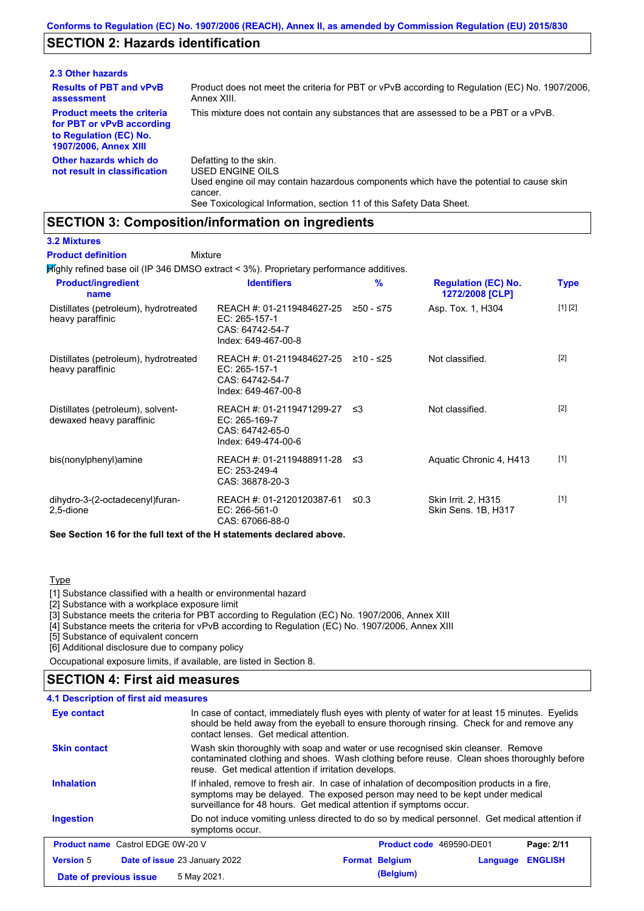### **SECTION 2: Hazards identification**

| 2.3 Other hazards                                                                                                        |                                                                                                                                                                                                                          |
|--------------------------------------------------------------------------------------------------------------------------|--------------------------------------------------------------------------------------------------------------------------------------------------------------------------------------------------------------------------|
| <b>Results of PBT and vPvB</b><br>assessment                                                                             | Product does not meet the criteria for PBT or vPvB according to Regulation (EC) No. 1907/2006,<br>Annex XIII.                                                                                                            |
| <b>Product meets the criteria</b><br>for PBT or vPvB according<br>to Regulation (EC) No.<br><b>1907/2006, Annex XIII</b> | This mixture does not contain any substances that are assessed to be a PBT or a vPvB.                                                                                                                                    |
| Other hazards which do<br>not result in classification                                                                   | Defatting to the skin.<br>USED ENGINE OILS<br>Used engine oil may contain hazardous components which have the potential to cause skin<br>cancer.<br>See Toxicological Information, section 11 of this Safety Data Sheet. |

### **SECTION 3: Composition/information on ingredients**

Mixture

### **3.2 Mixtures**

**Product definition**

Highly refined base oil (IP 346 DMSO extract < 3%). Proprietary performance additives.

| <b>Product/ingredient</b><br>name                                    | <b>Identifiers</b>                                                                      | $\frac{9}{6}$ | <b>Regulation (EC) No.</b><br>1272/2008 [CLP] | <b>Type</b> |
|----------------------------------------------------------------------|-----------------------------------------------------------------------------------------|---------------|-----------------------------------------------|-------------|
| Distillates (petroleum), hydrotreated<br>heavy paraffinic            | REACH #: 01-2119484627-25<br>EC: 265-157-1<br>CAS: 64742-54-7<br>Index: 649-467-00-8    | ≥50 - ≤75     | Asp. Tox. 1, H304                             | [1] [2]     |
| Distillates (petroleum), hydrotreated<br>heavy paraffinic            | REACH #: 01-2119484627-25<br>EC: 265-157-1<br>CAS: 64742-54-7<br>Index: 649-467-00-8    | ≥10 - ≤25     | Not classified.                               | $[2]$       |
| Distillates (petroleum), solvent-<br>dewaxed heavy paraffinic        | REACH #: 01-2119471299-27 ≤3<br>EC: 265-169-7<br>CAS: 64742-65-0<br>Index: 649-474-00-6 |               | Not classified.                               | $[2]$       |
| bis(nonylphenyl)amine                                                | REACH #: 01-2119488911-28<br>EC: 253-249-4<br>CAS: 36878-20-3                           | -≤3           | Aquatic Chronic 4, H413                       | $[1]$       |
| dihydro-3-(2-octadecenyl)furan-<br>2,5-dione                         | REACH #: 01-2120120387-61<br>EC: 266-561-0<br>CAS: 67066-88-0                           | ≤0.3          | Skin Irrit. 2, H315<br>Skin Sens. 1B, H317    | $[1]$       |
| See Section 16 for the full text of the H statements declared above. |                                                                                         |               |                                               |             |

#### **Type**

[1] Substance classified with a health or environmental hazard

[2] Substance with a workplace exposure limit

[3] Substance meets the criteria for PBT according to Regulation (EC) No. 1907/2006, Annex XIII

[4] Substance meets the criteria for vPvB according to Regulation (EC) No. 1907/2006, Annex XIII

[5] Substance of equivalent concern

[6] Additional disclosure due to company policy

Occupational exposure limits, if available, are listed in Section 8.

## **SECTION 4: First aid measures**

| <b>4.1 Description of first aid measures</b> |                                                                                                                                                                                                                                                                                                                                                                                                                                                                                                                                                                                                                                                                                                                                          |  |  |
|----------------------------------------------|------------------------------------------------------------------------------------------------------------------------------------------------------------------------------------------------------------------------------------------------------------------------------------------------------------------------------------------------------------------------------------------------------------------------------------------------------------------------------------------------------------------------------------------------------------------------------------------------------------------------------------------------------------------------------------------------------------------------------------------|--|--|
| Eye contact                                  | In case of contact, immediately flush eyes with plenty of water for at least 15 minutes. Eyelids<br>should be held away from the eyeball to ensure thorough rinsing. Check for and remove any<br>contact lenses. Get medical attention.<br>Wash skin thoroughly with soap and water or use recognised skin cleanser. Remove<br>contaminated clothing and shoes. Wash clothing before reuse. Clean shoes thoroughly before<br>reuse. Get medical attention if irritation develops.<br>If inhaled, remove to fresh air. In case of inhalation of decomposition products in a fire,<br>symptoms may be delayed. The exposed person may need to be kept under medical<br>surveillance for 48 hours. Get medical attention if symptoms occur. |  |  |
| <b>Skin contact</b>                          |                                                                                                                                                                                                                                                                                                                                                                                                                                                                                                                                                                                                                                                                                                                                          |  |  |
| <b>Inhalation</b>                            |                                                                                                                                                                                                                                                                                                                                                                                                                                                                                                                                                                                                                                                                                                                                          |  |  |
| <b>Ingestion</b>                             | Do not induce vomiting unless directed to do so by medical personnel. Get medical attention if<br>symptoms occur.                                                                                                                                                                                                                                                                                                                                                                                                                                                                                                                                                                                                                        |  |  |
| <b>Product name</b> Castrol EDGE 0W-20 V     | <b>Product code</b> 469590-DE01<br>Page: 2/11                                                                                                                                                                                                                                                                                                                                                                                                                                                                                                                                                                                                                                                                                            |  |  |
| <b>Version 5</b>                             | <b>ENGLISH</b><br>Date of issue 23 January 2022<br><b>Format Belgium</b><br>Language                                                                                                                                                                                                                                                                                                                                                                                                                                                                                                                                                                                                                                                     |  |  |
| Date of previous issue                       | (Belgium)<br>5 May 2021.                                                                                                                                                                                                                                                                                                                                                                                                                                                                                                                                                                                                                                                                                                                 |  |  |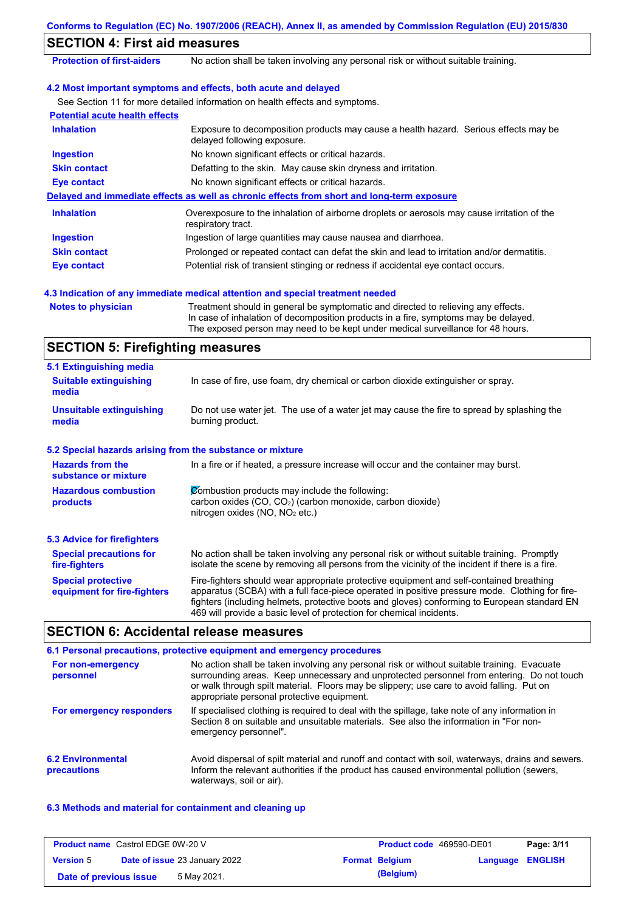### **SECTION 4: First aid measures**

**Protection of first-aiders** No action shall be taken involving any personal risk or without suitable training.

### **4.2 Most important symptoms and effects, both acute and delayed**

See Section 11 for more detailed information on health effects and symptoms.

| <b>Potential acute health effects</b> |                                                                                                                     |
|---------------------------------------|---------------------------------------------------------------------------------------------------------------------|
| <b>Inhalation</b>                     | Exposure to decomposition products may cause a health hazard. Serious effects may be<br>delayed following exposure. |
| <b>Ingestion</b>                      | No known significant effects or critical hazards.                                                                   |
| <b>Skin contact</b>                   | Defatting to the skin. May cause skin dryness and irritation.                                                       |
| Eye contact                           | No known significant effects or critical hazards.                                                                   |
|                                       | Delayed and immediate effects as well as chronic effects from short and long-term exposure                          |
| <b>Inhalation</b>                     | Overexposure to the inhalation of airborne droplets or aerosols may cause irritation of the<br>respiratory tract.   |
| <b>Ingestion</b>                      | Ingestion of large quantities may cause nausea and diarrhoea.                                                       |
| <b>Skin contact</b>                   | Prolonged or repeated contact can defat the skin and lead to irritation and/or dermatitis.                          |
| Eye contact                           | Potential risk of transient stinging or redness if accidental eye contact occurs.                                   |

#### **4.3 Indication of any immediate medical attention and special treatment needed**

**Notes to physician** Treatment should in general be symptomatic and directed to relieving any effects. In case of inhalation of decomposition products in a fire, symptoms may be delayed. The exposed person may need to be kept under medical surveillance for 48 hours.

### **SECTION 5: Firefighting measures**

| 5.1 Extinguishing media                                                                                                                                                                                                                                                                                                                                                                                                       |                                                                                                                                                                                                |  |
|-------------------------------------------------------------------------------------------------------------------------------------------------------------------------------------------------------------------------------------------------------------------------------------------------------------------------------------------------------------------------------------------------------------------------------|------------------------------------------------------------------------------------------------------------------------------------------------------------------------------------------------|--|
| In case of fire, use foam, dry chemical or carbon dioxide extinguisher or spray.<br><b>Suitable extinguishing</b><br>media                                                                                                                                                                                                                                                                                                    |                                                                                                                                                                                                |  |
| <b>Unsuitable extinguishing</b><br>media                                                                                                                                                                                                                                                                                                                                                                                      | Do not use water jet. The use of a water jet may cause the fire to spread by splashing the<br>burning product.                                                                                 |  |
| 5.2 Special hazards arising from the substance or mixture                                                                                                                                                                                                                                                                                                                                                                     |                                                                                                                                                                                                |  |
| <b>Hazards from the</b><br>In a fire or if heated, a pressure increase will occur and the container may burst.<br>substance or mixture                                                                                                                                                                                                                                                                                        |                                                                                                                                                                                                |  |
| Combustion products may include the following:<br><b>Hazardous combustion</b><br>carbon oxides (CO, CO <sub>2</sub> ) (carbon monoxide, carbon dioxide)<br>products<br>nitrogen oxides (NO, NO <sub>2</sub> etc.)                                                                                                                                                                                                             |                                                                                                                                                                                                |  |
| 5.3 Advice for firefighters                                                                                                                                                                                                                                                                                                                                                                                                   |                                                                                                                                                                                                |  |
| <b>Special precautions for</b><br>fire-fighters                                                                                                                                                                                                                                                                                                                                                                               | No action shall be taken involving any personal risk or without suitable training. Promptly<br>isolate the scene by removing all persons from the vicinity of the incident if there is a fire. |  |
| <b>Special protective</b><br>Fire-fighters should wear appropriate protective equipment and self-contained breathing<br>apparatus (SCBA) with a full face-piece operated in positive pressure mode. Clothing for fire-<br>equipment for fire-fighters<br>fighters (including helmets, protective boots and gloves) conforming to European standard EN<br>469 will provide a basic level of protection for chemical incidents. |                                                                                                                                                                                                |  |

### **SECTION 6: Accidental release measures**

|                                         | 6.1 Personal precautions, protective equipment and emergency procedures                                                                                                                                                                                                                                                             |
|-----------------------------------------|-------------------------------------------------------------------------------------------------------------------------------------------------------------------------------------------------------------------------------------------------------------------------------------------------------------------------------------|
| For non-emergency<br>personnel          | No action shall be taken involving any personal risk or without suitable training. Evacuate<br>surrounding areas. Keep unnecessary and unprotected personnel from entering. Do not touch<br>or walk through spilt material. Floors may be slippery; use care to avoid falling. Put on<br>appropriate personal protective equipment. |
| For emergency responders                | If specialised clothing is required to deal with the spillage, take note of any information in<br>Section 8 on suitable and unsuitable materials. See also the information in "For non-<br>emergency personnel".                                                                                                                    |
| <b>6.2 Environmental</b><br>precautions | Avoid dispersal of spilt material and runoff and contact with soil, waterways, drains and sewers.<br>Inform the relevant authorities if the product has caused environmental pollution (sewers,<br>waterways, soil or air).                                                                                                         |

#### **6.3 Methods and material for containment and cleaning up**

| <b>Product name</b> Castrol EDGE 0W-20 V |  | <b>Product code</b> 469590-DE01      |  | Page: 3/11            |                         |  |
|------------------------------------------|--|--------------------------------------|--|-----------------------|-------------------------|--|
| <b>Version 5</b>                         |  | <b>Date of issue 23 January 2022</b> |  | <b>Format Belgium</b> | <b>Language ENGLISH</b> |  |
| Date of previous issue                   |  | 5 May 2021.                          |  | (Belgium)             |                         |  |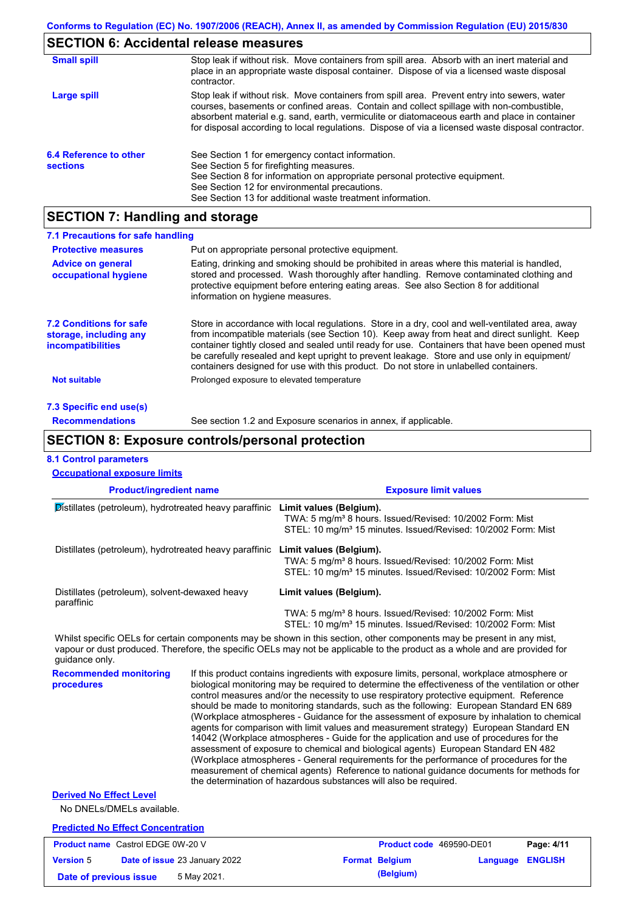# **SECTION 6: Accidental release measures**

| <b>Small spill</b>                        | Stop leak if without risk. Move containers from spill area. Absorb with an inert material and<br>place in an appropriate waste disposal container. Dispose of via a licensed waste disposal<br>contractor.                                                                                                                                                                                     |
|-------------------------------------------|------------------------------------------------------------------------------------------------------------------------------------------------------------------------------------------------------------------------------------------------------------------------------------------------------------------------------------------------------------------------------------------------|
| Large spill                               | Stop leak if without risk. Move containers from spill area. Prevent entry into sewers, water<br>courses, basements or confined areas. Contain and collect spillage with non-combustible,<br>absorbent material e.g. sand, earth, vermiculite or diatomaceous earth and place in container<br>for disposal according to local regulations. Dispose of via a licensed waste disposal contractor. |
| 6.4 Reference to other<br><b>sections</b> | See Section 1 for emergency contact information.<br>See Section 5 for firefighting measures.<br>See Section 8 for information on appropriate personal protective equipment.<br>See Section 12 for environmental precautions.<br>See Section 13 for additional waste treatment information.                                                                                                     |

# **SECTION 7: Handling and storage**

| 7.1 Precautions for safe handling                                                    |                                                                                                                                                                                                                                                                                                                                                                                                                                                                                          |
|--------------------------------------------------------------------------------------|------------------------------------------------------------------------------------------------------------------------------------------------------------------------------------------------------------------------------------------------------------------------------------------------------------------------------------------------------------------------------------------------------------------------------------------------------------------------------------------|
| <b>Protective measures</b>                                                           | Put on appropriate personal protective equipment.                                                                                                                                                                                                                                                                                                                                                                                                                                        |
| <b>Advice on general</b><br>occupational hygiene                                     | Eating, drinking and smoking should be prohibited in areas where this material is handled,<br>stored and processed. Wash thoroughly after handling. Remove contaminated clothing and<br>protective equipment before entering eating areas. See also Section 8 for additional<br>information on hygiene measures.                                                                                                                                                                         |
| <b>7.2 Conditions for safe</b><br>storage, including any<br><i>incompatibilities</i> | Store in accordance with local requlations. Store in a dry, cool and well-ventilated area, away<br>from incompatible materials (see Section 10). Keep away from heat and direct sunlight. Keep<br>container tightly closed and sealed until ready for use. Containers that have been opened must<br>be carefully resealed and kept upright to prevent leakage. Store and use only in equipment/<br>containers designed for use with this product. Do not store in unlabelled containers. |
| Not suitable                                                                         | Prolonged exposure to elevated temperature                                                                                                                                                                                                                                                                                                                                                                                                                                               |
| 7.3 Specific end use(s)                                                              |                                                                                                                                                                                                                                                                                                                                                                                                                                                                                          |
| <b>Recommendations</b>                                                               | See section 1.2 and Exposure scenarios in annex, if applicable.                                                                                                                                                                                                                                                                                                                                                                                                                          |

### **SECTION 8: Exposure controls/personal protection**

## **8.1 Control parameters**

| <b>Occupational exposure limits</b>                          |                                                                                                                                                                                                                                                                                                                                                                                                                                                                                                                                                                                                                                                                                                                                                                                                                                                                                                                                                                                                                            |                                                                                                                                                                                                                                                      |  |  |
|--------------------------------------------------------------|----------------------------------------------------------------------------------------------------------------------------------------------------------------------------------------------------------------------------------------------------------------------------------------------------------------------------------------------------------------------------------------------------------------------------------------------------------------------------------------------------------------------------------------------------------------------------------------------------------------------------------------------------------------------------------------------------------------------------------------------------------------------------------------------------------------------------------------------------------------------------------------------------------------------------------------------------------------------------------------------------------------------------|------------------------------------------------------------------------------------------------------------------------------------------------------------------------------------------------------------------------------------------------------|--|--|
| <b>Product/ingredient name</b>                               |                                                                                                                                                                                                                                                                                                                                                                                                                                                                                                                                                                                                                                                                                                                                                                                                                                                                                                                                                                                                                            | <b>Exposure limit values</b>                                                                                                                                                                                                                         |  |  |
| Distillates (petroleum), hydrotreated heavy paraffinic       |                                                                                                                                                                                                                                                                                                                                                                                                                                                                                                                                                                                                                                                                                                                                                                                                                                                                                                                                                                                                                            | Limit values (Belgium).<br>TWA: 5 mg/m <sup>3</sup> 8 hours. Issued/Revised: 10/2002 Form: Mist<br>STEL: 10 mg/m <sup>3</sup> 15 minutes. Issued/Revised: 10/2002 Form: Mist                                                                         |  |  |
| Distillates (petroleum), hydrotreated heavy paraffinic       |                                                                                                                                                                                                                                                                                                                                                                                                                                                                                                                                                                                                                                                                                                                                                                                                                                                                                                                                                                                                                            | Limit values (Belgium).<br>TWA: 5 mg/m <sup>3</sup> 8 hours. Issued/Revised: 10/2002 Form: Mist<br>STEL: 10 mg/m <sup>3</sup> 15 minutes. Issued/Revised: 10/2002 Form: Mist                                                                         |  |  |
| Distillates (petroleum), solvent-dewaxed heavy<br>paraffinic |                                                                                                                                                                                                                                                                                                                                                                                                                                                                                                                                                                                                                                                                                                                                                                                                                                                                                                                                                                                                                            | Limit values (Belgium).                                                                                                                                                                                                                              |  |  |
|                                                              |                                                                                                                                                                                                                                                                                                                                                                                                                                                                                                                                                                                                                                                                                                                                                                                                                                                                                                                                                                                                                            | TWA: 5 mg/m <sup>3</sup> 8 hours. Issued/Revised: 10/2002 Form: Mist<br>STEL: 10 mg/m <sup>3</sup> 15 minutes. Issued/Revised: 10/2002 Form: Mist                                                                                                    |  |  |
| quidance only.                                               |                                                                                                                                                                                                                                                                                                                                                                                                                                                                                                                                                                                                                                                                                                                                                                                                                                                                                                                                                                                                                            | Whilst specific OELs for certain components may be shown in this section, other components may be present in any mist,<br>vapour or dust produced. Therefore, the specific OELs may not be applicable to the product as a whole and are provided for |  |  |
| <b>Recommended monitoring</b><br>procedures                  | If this product contains ingredients with exposure limits, personal, workplace atmosphere or<br>biological monitoring may be required to determine the effectiveness of the ventilation or other<br>control measures and/or the necessity to use respiratory protective equipment. Reference<br>should be made to monitoring standards, such as the following: European Standard EN 689<br>(Workplace atmospheres - Guidance for the assessment of exposure by inhalation to chemical<br>agents for comparison with limit values and measurement strategy) European Standard EN<br>14042 (Workplace atmospheres - Guide for the application and use of procedures for the<br>assessment of exposure to chemical and biological agents) European Standard EN 482<br>(Workplace atmospheres - General requirements for the performance of procedures for the<br>measurement of chemical agents) Reference to national guidance documents for methods for<br>the determination of hazardous substances will also be required. |                                                                                                                                                                                                                                                      |  |  |
| <b>Derived No Effect Level</b><br>No DNELs/DMELs available.  |                                                                                                                                                                                                                                                                                                                                                                                                                                                                                                                                                                                                                                                                                                                                                                                                                                                                                                                                                                                                                            |                                                                                                                                                                                                                                                      |  |  |
| <b>Predicted No Effect Concentration</b>                     |                                                                                                                                                                                                                                                                                                                                                                                                                                                                                                                                                                                                                                                                                                                                                                                                                                                                                                                                                                                                                            |                                                                                                                                                                                                                                                      |  |  |
| <b>Product name</b> Castrol EDGE 0W-20 V                     |                                                                                                                                                                                                                                                                                                                                                                                                                                                                                                                                                                                                                                                                                                                                                                                                                                                                                                                                                                                                                            | Page: 4/11<br>Product code 469590-DE01                                                                                                                                                                                                               |  |  |

**Version** 5 **Date of issue** 23 January 2022 **Format Belgium Language ENGLISH Date of previous issue 5 May 2021. (Belgium) (Belgium)**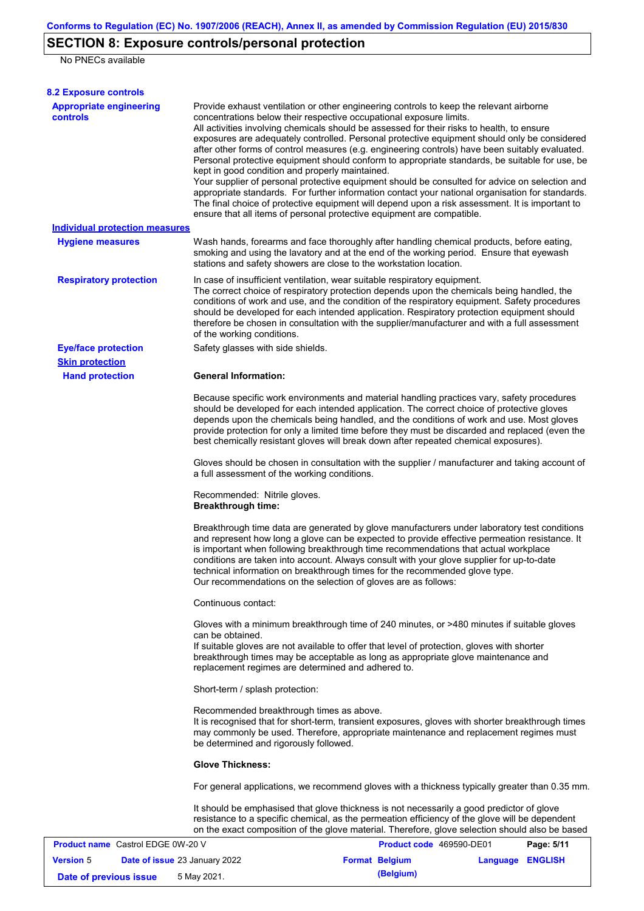## **SECTION 8: Exposure controls/personal protection**

No PNECs available

| <b>8.2 Exposure controls</b>                                                |                                                                                                                                                                                                                                                                                                                                                                                                                                                                                                                                                                                                                                                                                                                                                                                                                                                                                                                                                                                                                                                                                                                                                                                                                                                                                                                                                                                                                                                                                                                                                                                                                                                                                                                                                                                                                                                                                                                                                                            |  |  |  |  |
|-----------------------------------------------------------------------------|----------------------------------------------------------------------------------------------------------------------------------------------------------------------------------------------------------------------------------------------------------------------------------------------------------------------------------------------------------------------------------------------------------------------------------------------------------------------------------------------------------------------------------------------------------------------------------------------------------------------------------------------------------------------------------------------------------------------------------------------------------------------------------------------------------------------------------------------------------------------------------------------------------------------------------------------------------------------------------------------------------------------------------------------------------------------------------------------------------------------------------------------------------------------------------------------------------------------------------------------------------------------------------------------------------------------------------------------------------------------------------------------------------------------------------------------------------------------------------------------------------------------------------------------------------------------------------------------------------------------------------------------------------------------------------------------------------------------------------------------------------------------------------------------------------------------------------------------------------------------------------------------------------------------------------------------------------------------------|--|--|--|--|
| <b>Appropriate engineering</b><br><b>controls</b>                           | Provide exhaust ventilation or other engineering controls to keep the relevant airborne<br>concentrations below their respective occupational exposure limits.<br>All activities involving chemicals should be assessed for their risks to health, to ensure<br>exposures are adequately controlled. Personal protective equipment should only be considered<br>after other forms of control measures (e.g. engineering controls) have been suitably evaluated.<br>Personal protective equipment should conform to appropriate standards, be suitable for use, be<br>kept in good condition and properly maintained.<br>Your supplier of personal protective equipment should be consulted for advice on selection and<br>appropriate standards. For further information contact your national organisation for standards.<br>The final choice of protective equipment will depend upon a risk assessment. It is important to<br>ensure that all items of personal protective equipment are compatible.                                                                                                                                                                                                                                                                                                                                                                                                                                                                                                                                                                                                                                                                                                                                                                                                                                                                                                                                                                    |  |  |  |  |
| <b>Individual protection measures</b>                                       |                                                                                                                                                                                                                                                                                                                                                                                                                                                                                                                                                                                                                                                                                                                                                                                                                                                                                                                                                                                                                                                                                                                                                                                                                                                                                                                                                                                                                                                                                                                                                                                                                                                                                                                                                                                                                                                                                                                                                                            |  |  |  |  |
| <b>Hygiene measures</b>                                                     | Wash hands, forearms and face thoroughly after handling chemical products, before eating,<br>smoking and using the lavatory and at the end of the working period. Ensure that eyewash<br>stations and safety showers are close to the workstation location.                                                                                                                                                                                                                                                                                                                                                                                                                                                                                                                                                                                                                                                                                                                                                                                                                                                                                                                                                                                                                                                                                                                                                                                                                                                                                                                                                                                                                                                                                                                                                                                                                                                                                                                |  |  |  |  |
| <b>Respiratory protection</b>                                               | In case of insufficient ventilation, wear suitable respiratory equipment.<br>The correct choice of respiratory protection depends upon the chemicals being handled, the<br>conditions of work and use, and the condition of the respiratory equipment. Safety procedures<br>should be developed for each intended application. Respiratory protection equipment should<br>therefore be chosen in consultation with the supplier/manufacturer and with a full assessment<br>of the working conditions.                                                                                                                                                                                                                                                                                                                                                                                                                                                                                                                                                                                                                                                                                                                                                                                                                                                                                                                                                                                                                                                                                                                                                                                                                                                                                                                                                                                                                                                                      |  |  |  |  |
| <b>Eye/face protection</b>                                                  | Safety glasses with side shields.                                                                                                                                                                                                                                                                                                                                                                                                                                                                                                                                                                                                                                                                                                                                                                                                                                                                                                                                                                                                                                                                                                                                                                                                                                                                                                                                                                                                                                                                                                                                                                                                                                                                                                                                                                                                                                                                                                                                          |  |  |  |  |
| <b>Skin protection</b><br><b>Hand protection</b>                            | <b>General Information:</b>                                                                                                                                                                                                                                                                                                                                                                                                                                                                                                                                                                                                                                                                                                                                                                                                                                                                                                                                                                                                                                                                                                                                                                                                                                                                                                                                                                                                                                                                                                                                                                                                                                                                                                                                                                                                                                                                                                                                                |  |  |  |  |
|                                                                             | Because specific work environments and material handling practices vary, safety procedures<br>should be developed for each intended application. The correct choice of protective gloves<br>depends upon the chemicals being handled, and the conditions of work and use. Most gloves<br>provide protection for only a limited time before they must be discarded and replaced (even the<br>best chemically resistant gloves will break down after repeated chemical exposures).<br>Gloves should be chosen in consultation with the supplier / manufacturer and taking account of<br>a full assessment of the working conditions.<br>Recommended: Nitrile gloves.<br><b>Breakthrough time:</b><br>Breakthrough time data are generated by glove manufacturers under laboratory test conditions<br>and represent how long a glove can be expected to provide effective permeation resistance. It<br>is important when following breakthrough time recommendations that actual workplace<br>conditions are taken into account. Always consult with your glove supplier for up-to-date<br>technical information on breakthrough times for the recommended glove type.<br>Our recommendations on the selection of gloves are as follows:<br>Continuous contact:<br>Gloves with a minimum breakthrough time of 240 minutes, or >480 minutes if suitable gloves<br>can be obtained.<br>If suitable gloves are not available to offer that level of protection, gloves with shorter<br>breakthrough times may be acceptable as long as appropriate glove maintenance and<br>replacement regimes are determined and adhered to.<br>Short-term / splash protection:<br>Recommended breakthrough times as above.<br>It is recognised that for short-term, transient exposures, gloves with shorter breakthrough times<br>may commonly be used. Therefore, appropriate maintenance and replacement regimes must<br>be determined and rigorously followed.<br><b>Glove Thickness:</b> |  |  |  |  |
|                                                                             |                                                                                                                                                                                                                                                                                                                                                                                                                                                                                                                                                                                                                                                                                                                                                                                                                                                                                                                                                                                                                                                                                                                                                                                                                                                                                                                                                                                                                                                                                                                                                                                                                                                                                                                                                                                                                                                                                                                                                                            |  |  |  |  |
|                                                                             |                                                                                                                                                                                                                                                                                                                                                                                                                                                                                                                                                                                                                                                                                                                                                                                                                                                                                                                                                                                                                                                                                                                                                                                                                                                                                                                                                                                                                                                                                                                                                                                                                                                                                                                                                                                                                                                                                                                                                                            |  |  |  |  |
|                                                                             |                                                                                                                                                                                                                                                                                                                                                                                                                                                                                                                                                                                                                                                                                                                                                                                                                                                                                                                                                                                                                                                                                                                                                                                                                                                                                                                                                                                                                                                                                                                                                                                                                                                                                                                                                                                                                                                                                                                                                                            |  |  |  |  |
|                                                                             |                                                                                                                                                                                                                                                                                                                                                                                                                                                                                                                                                                                                                                                                                                                                                                                                                                                                                                                                                                                                                                                                                                                                                                                                                                                                                                                                                                                                                                                                                                                                                                                                                                                                                                                                                                                                                                                                                                                                                                            |  |  |  |  |
|                                                                             |                                                                                                                                                                                                                                                                                                                                                                                                                                                                                                                                                                                                                                                                                                                                                                                                                                                                                                                                                                                                                                                                                                                                                                                                                                                                                                                                                                                                                                                                                                                                                                                                                                                                                                                                                                                                                                                                                                                                                                            |  |  |  |  |
|                                                                             |                                                                                                                                                                                                                                                                                                                                                                                                                                                                                                                                                                                                                                                                                                                                                                                                                                                                                                                                                                                                                                                                                                                                                                                                                                                                                                                                                                                                                                                                                                                                                                                                                                                                                                                                                                                                                                                                                                                                                                            |  |  |  |  |
|                                                                             |                                                                                                                                                                                                                                                                                                                                                                                                                                                                                                                                                                                                                                                                                                                                                                                                                                                                                                                                                                                                                                                                                                                                                                                                                                                                                                                                                                                                                                                                                                                                                                                                                                                                                                                                                                                                                                                                                                                                                                            |  |  |  |  |
|                                                                             |                                                                                                                                                                                                                                                                                                                                                                                                                                                                                                                                                                                                                                                                                                                                                                                                                                                                                                                                                                                                                                                                                                                                                                                                                                                                                                                                                                                                                                                                                                                                                                                                                                                                                                                                                                                                                                                                                                                                                                            |  |  |  |  |
|                                                                             | It should be emphasised that glove thickness is not necessarily a good predictor of glove<br>resistance to a specific chemical, as the permeation efficiency of the glove will be dependent<br>on the exact composition of the glove material. Therefore, glove selection should also be based                                                                                                                                                                                                                                                                                                                                                                                                                                                                                                                                                                                                                                                                                                                                                                                                                                                                                                                                                                                                                                                                                                                                                                                                                                                                                                                                                                                                                                                                                                                                                                                                                                                                             |  |  |  |  |
| <b>Product name</b> Castrol EDGE 0W-20 V                                    | Product code 469590-DE01<br>Page: 5/11                                                                                                                                                                                                                                                                                                                                                                                                                                                                                                                                                                                                                                                                                                                                                                                                                                                                                                                                                                                                                                                                                                                                                                                                                                                                                                                                                                                                                                                                                                                                                                                                                                                                                                                                                                                                                                                                                                                                     |  |  |  |  |
| <b>Version 5</b><br>Date of issue 23 January 2022<br>Date of previous issue | <b>Format Belgium</b><br><b>ENGLISH</b><br>Language<br>(Belgium)<br>5 May 2021.                                                                                                                                                                                                                                                                                                                                                                                                                                                                                                                                                                                                                                                                                                                                                                                                                                                                                                                                                                                                                                                                                                                                                                                                                                                                                                                                                                                                                                                                                                                                                                                                                                                                                                                                                                                                                                                                                            |  |  |  |  |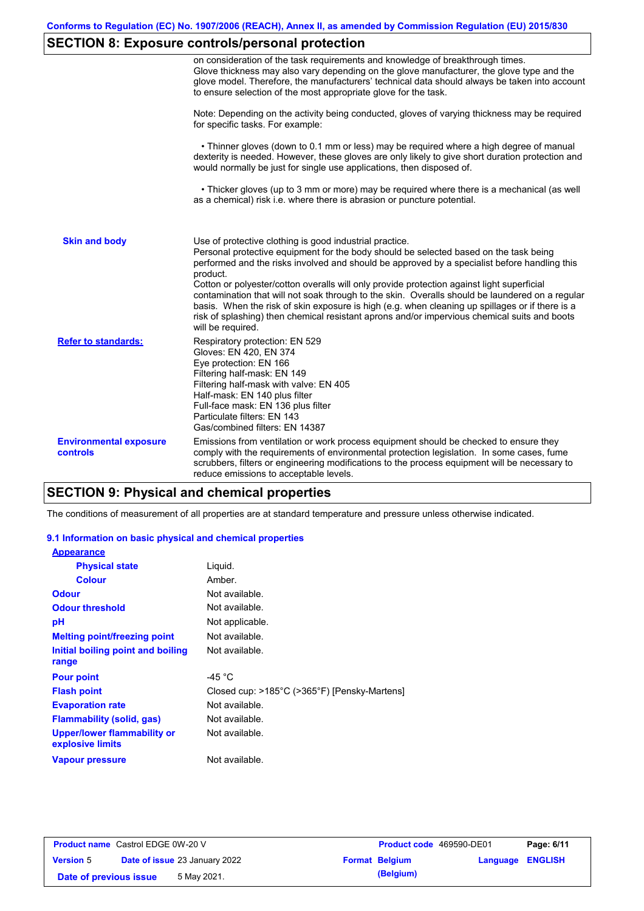# **SECTION 8: Exposure controls/personal protection**

|                                           | on consideration of the task requirements and knowledge of breakthrough times.<br>Glove thickness may also vary depending on the glove manufacturer, the glove type and the<br>glove model. Therefore, the manufacturers' technical data should always be taken into account<br>to ensure selection of the most appropriate glove for the task.                                                                                                                                                                                                                                                                                                                                       |
|-------------------------------------------|---------------------------------------------------------------------------------------------------------------------------------------------------------------------------------------------------------------------------------------------------------------------------------------------------------------------------------------------------------------------------------------------------------------------------------------------------------------------------------------------------------------------------------------------------------------------------------------------------------------------------------------------------------------------------------------|
|                                           | Note: Depending on the activity being conducted, gloves of varying thickness may be required<br>for specific tasks. For example:                                                                                                                                                                                                                                                                                                                                                                                                                                                                                                                                                      |
|                                           | • Thinner gloves (down to 0.1 mm or less) may be required where a high degree of manual<br>dexterity is needed. However, these gloves are only likely to give short duration protection and<br>would normally be just for single use applications, then disposed of.                                                                                                                                                                                                                                                                                                                                                                                                                  |
|                                           | • Thicker gloves (up to 3 mm or more) may be required where there is a mechanical (as well<br>as a chemical) risk i.e. where there is abrasion or puncture potential.                                                                                                                                                                                                                                                                                                                                                                                                                                                                                                                 |
| <b>Skin and body</b>                      | Use of protective clothing is good industrial practice.<br>Personal protective equipment for the body should be selected based on the task being<br>performed and the risks involved and should be approved by a specialist before handling this<br>product.<br>Cotton or polyester/cotton overalls will only provide protection against light superficial<br>contamination that will not soak through to the skin. Overalls should be laundered on a regular<br>basis. When the risk of skin exposure is high (e.g. when cleaning up spillages or if there is a<br>risk of splashing) then chemical resistant aprons and/or impervious chemical suits and boots<br>will be required. |
| <b>Refer to standards:</b>                | Respiratory protection: EN 529<br>Gloves: EN 420, EN 374<br>Eye protection: EN 166<br>Filtering half-mask: EN 149<br>Filtering half-mask with valve: EN 405<br>Half-mask: EN 140 plus filter<br>Full-face mask: EN 136 plus filter<br>Particulate filters: EN 143<br>Gas/combined filters: EN 14387                                                                                                                                                                                                                                                                                                                                                                                   |
| <b>Environmental exposure</b><br>controls | Emissions from ventilation or work process equipment should be checked to ensure they<br>comply with the requirements of environmental protection legislation. In some cases, fume<br>scrubbers, filters or engineering modifications to the process equipment will be necessary to<br>reduce emissions to acceptable levels.                                                                                                                                                                                                                                                                                                                                                         |

## **SECTION 9: Physical and chemical properties**

The conditions of measurement of all properties are at standard temperature and pressure unless otherwise indicated.

### **9.1 Information on basic physical and chemical properties**

| <b>Appearance</b>                                      |                                              |
|--------------------------------------------------------|----------------------------------------------|
| <b>Physical state</b>                                  | Liquid.                                      |
| <b>Colour</b>                                          | Amber.                                       |
| <b>Odour</b>                                           | Not available.                               |
| <b>Odour threshold</b>                                 | Not available.                               |
| рH                                                     | Not applicable.                              |
| <b>Melting point/freezing point</b>                    | Not available.                               |
| Initial boiling point and boiling<br>range             | Not available.                               |
| <b>Pour point</b>                                      | -45 $^{\circ}$ C                             |
| <b>Flash point</b>                                     | Closed cup: >185°C (>365°F) [Pensky-Martens] |
| <b>Evaporation rate</b>                                | Not available.                               |
| <b>Flammability (solid, gas)</b>                       | Not available.                               |
| <b>Upper/lower flammability or</b><br>explosive limits | Not available.                               |
| <b>Vapour pressure</b>                                 | Not available.                               |

| <b>Product name</b> Castrol EDGE 0W-20 V |  | Product code 469590-DE01             |  | Page: 6/11            |                         |  |
|------------------------------------------|--|--------------------------------------|--|-----------------------|-------------------------|--|
| <b>Version 5</b>                         |  | <b>Date of issue 23 January 2022</b> |  | <b>Format Belgium</b> | <b>Language ENGLISH</b> |  |
| Date of previous issue                   |  | 5 May 2021.                          |  | (Belgium)             |                         |  |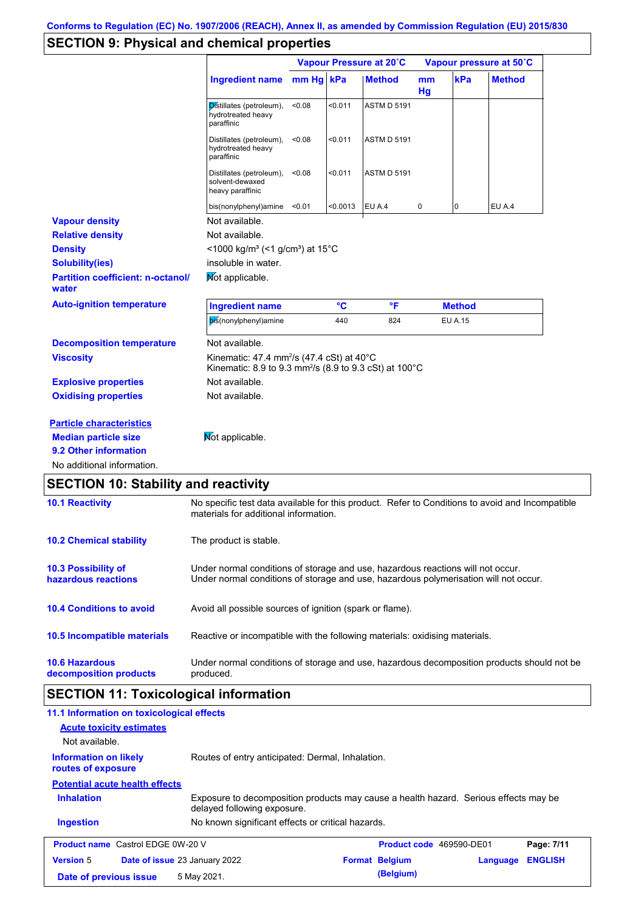## **SECTION 9: Physical and chemical properties**

|                                                     |                                                                                                                                       | Vapour Pressure at 20°C |          |                    | Vapour pressure at 50°C |                |               |
|-----------------------------------------------------|---------------------------------------------------------------------------------------------------------------------------------------|-------------------------|----------|--------------------|-------------------------|----------------|---------------|
|                                                     | <b>Ingredient name</b>                                                                                                                | mm Hg kPa               |          | <b>Method</b>      | m <sub>m</sub><br>Hg    | kPa            | <b>Method</b> |
|                                                     | Distillates (petroleum),<br>hydrotreated heavy<br>paraffinic                                                                          | < 0.08                  | < 0.011  | <b>ASTM D 5191</b> |                         |                |               |
|                                                     | Distillates (petroleum),<br>hydrotreated heavy<br>paraffinic                                                                          | < 0.08                  | < 0.011  | <b>ASTM D 5191</b> |                         |                |               |
|                                                     | Distillates (petroleum),<br>solvent-dewaxed<br>heavy paraffinic                                                                       | < 0.08                  | < 0.011  | <b>ASTM D 5191</b> |                         |                |               |
|                                                     | bis(nonylphenyl)amine                                                                                                                 | < 0.01                  | < 0.0013 | EU A.4             | 0                       | 0              | EU A.4        |
| <b>Vapour density</b>                               | Not available.                                                                                                                        |                         |          |                    |                         |                |               |
| <b>Relative density</b>                             | Not available.                                                                                                                        |                         |          |                    |                         |                |               |
| <b>Density</b>                                      | <1000 kg/m <sup>3</sup> (<1 g/cm <sup>3</sup> ) at 15 <sup>°</sup> C                                                                  |                         |          |                    |                         |                |               |
| <b>Solubility(ies)</b>                              | insoluble in water.                                                                                                                   |                         |          |                    |                         |                |               |
| <b>Partition coefficient: n-octanol/</b><br>water   | Mot applicable.                                                                                                                       |                         |          |                    |                         |                |               |
| <b>Auto-ignition temperature</b>                    | <b>Ingredient name</b>                                                                                                                |                         | °C       | °F                 |                         | <b>Method</b>  |               |
|                                                     | bis(nonylphenyl)amine                                                                                                                 |                         | 440      | 824                |                         | <b>EU A.15</b> |               |
| <b>Decomposition temperature</b>                    | Not available.                                                                                                                        |                         |          |                    |                         |                |               |
| <b>Viscosity</b>                                    | Kinematic: 47.4 mm <sup>2</sup> /s (47.4 cSt) at $40^{\circ}$ C<br>Kinematic: 8.9 to 9.3 mm <sup>2</sup> /s (8.9 to 9.3 cSt) at 100°C |                         |          |                    |                         |                |               |
| <b>Explosive properties</b>                         | Not available.                                                                                                                        |                         |          |                    |                         |                |               |
| <b>Oxidising properties</b>                         | Not available.                                                                                                                        |                         |          |                    |                         |                |               |
| <b>Particle characteristics</b>                     |                                                                                                                                       |                         |          |                    |                         |                |               |
| <b>Median particle size</b>                         | Not applicable.                                                                                                                       |                         |          |                    |                         |                |               |
|                                                     |                                                                                                                                       |                         |          |                    |                         |                |               |
| 9.2 Other information<br>No additional information. |                                                                                                                                       |                         |          |                    |                         |                |               |

# **SECTION 10: Stability and reactivity**

| <b>10.1 Reactivity</b>                            | No specific test data available for this product. Refer to Conditions to avoid and Incompatible<br>materials for additional information.                                |
|---------------------------------------------------|-------------------------------------------------------------------------------------------------------------------------------------------------------------------------|
| <b>10.2 Chemical stability</b>                    | The product is stable.                                                                                                                                                  |
| <b>10.3 Possibility of</b><br>hazardous reactions | Under normal conditions of storage and use, hazardous reactions will not occur.<br>Under normal conditions of storage and use, hazardous polymerisation will not occur. |
| <b>10.4 Conditions to avoid</b>                   | Avoid all possible sources of ignition (spark or flame).                                                                                                                |
| 10.5 Incompatible materials                       | Reactive or incompatible with the following materials: oxidising materials.                                                                                             |
| <b>10.6 Hazardous</b><br>decomposition products   | Under normal conditions of storage and use, hazardous decomposition products should not be<br>produced.                                                                 |

# **SECTION 11: Toxicological information**

| 11.1 Information on toxicological effects<br><b>Acute toxicity estimates</b><br>Not available. |                                                                                                                     |                          |          |                |
|------------------------------------------------------------------------------------------------|---------------------------------------------------------------------------------------------------------------------|--------------------------|----------|----------------|
| <b>Information on likely</b><br>routes of exposure                                             | Routes of entry anticipated: Dermal, Inhalation.                                                                    |                          |          |                |
| <b>Potential acute health effects</b>                                                          |                                                                                                                     |                          |          |                |
| <b>Inhalation</b>                                                                              | Exposure to decomposition products may cause a health hazard. Serious effects may be<br>delayed following exposure. |                          |          |                |
| <b>Ingestion</b>                                                                               | No known significant effects or critical hazards.                                                                   |                          |          |                |
| <b>Product name</b> Castrol EDGE 0W-20 V                                                       |                                                                                                                     | Product code 469590-DE01 |          | Page: 7/11     |
| <b>Version 5</b>                                                                               | <b>Date of issue 23 January 2022</b>                                                                                | <b>Format Belgium</b>    | Language | <b>ENGLISH</b> |
| Date of previous issue                                                                         | 5 May 2021.                                                                                                         | (Belgium)                |          |                |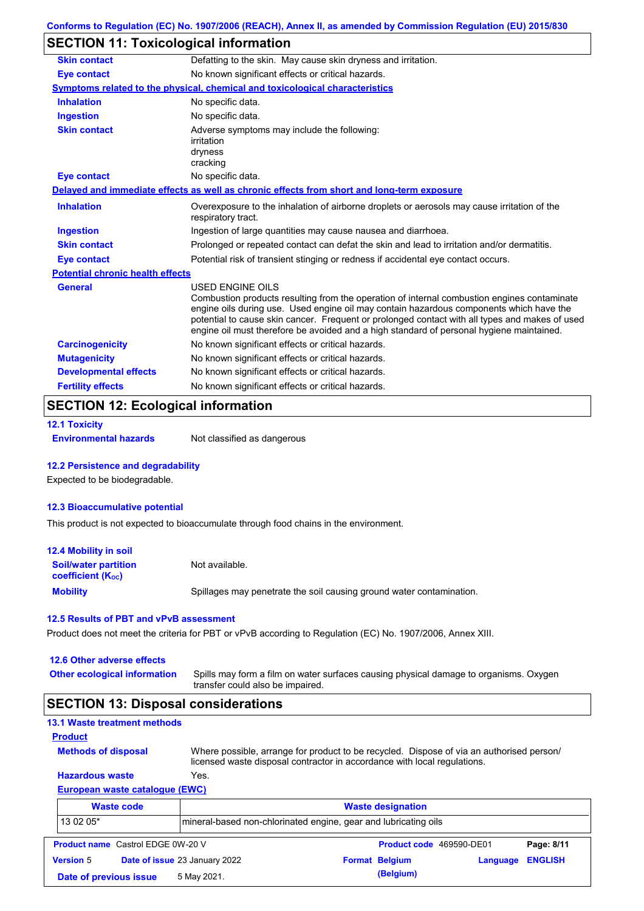### **SECTION 11: Toxicological information**

| <b>Skin contact</b>                     | Defatting to the skin. May cause skin dryness and irritation.                                                                                                                                                                                                                                                                                                                                            |
|-----------------------------------------|----------------------------------------------------------------------------------------------------------------------------------------------------------------------------------------------------------------------------------------------------------------------------------------------------------------------------------------------------------------------------------------------------------|
| <b>Eye contact</b>                      | No known significant effects or critical hazards.                                                                                                                                                                                                                                                                                                                                                        |
|                                         | Symptoms related to the physical, chemical and toxicological characteristics                                                                                                                                                                                                                                                                                                                             |
| <b>Inhalation</b>                       | No specific data.                                                                                                                                                                                                                                                                                                                                                                                        |
| <b>Ingestion</b>                        | No specific data.                                                                                                                                                                                                                                                                                                                                                                                        |
| <b>Skin contact</b>                     | Adverse symptoms may include the following:<br>irritation<br>dryness<br>cracking                                                                                                                                                                                                                                                                                                                         |
| Eye contact                             | No specific data.                                                                                                                                                                                                                                                                                                                                                                                        |
|                                         | Delayed and immediate effects as well as chronic effects from short and long-term exposure                                                                                                                                                                                                                                                                                                               |
| <b>Inhalation</b>                       | Overexposure to the inhalation of airborne droplets or aerosols may cause irritation of the<br>respiratory tract.                                                                                                                                                                                                                                                                                        |
| <b>Ingestion</b>                        | Ingestion of large quantities may cause nausea and diarrhoea.                                                                                                                                                                                                                                                                                                                                            |
| <b>Skin contact</b>                     | Prolonged or repeated contact can defat the skin and lead to irritation and/or dermatitis.                                                                                                                                                                                                                                                                                                               |
| <b>Eye contact</b>                      | Potential risk of transient stinging or redness if accidental eye contact occurs.                                                                                                                                                                                                                                                                                                                        |
| <b>Potential chronic health effects</b> |                                                                                                                                                                                                                                                                                                                                                                                                          |
| General                                 | USED ENGINE OILS<br>Combustion products resulting from the operation of internal combustion engines contaminate<br>engine oils during use. Used engine oil may contain hazardous components which have the<br>potential to cause skin cancer. Frequent or prolonged contact with all types and makes of used<br>engine oil must therefore be avoided and a high standard of personal hygiene maintained. |
| <b>Carcinogenicity</b>                  | No known significant effects or critical hazards.                                                                                                                                                                                                                                                                                                                                                        |
| <b>Mutagenicity</b>                     | No known significant effects or critical hazards.                                                                                                                                                                                                                                                                                                                                                        |
| <b>Developmental effects</b>            | No known significant effects or critical hazards.                                                                                                                                                                                                                                                                                                                                                        |
| <b>Fertility effects</b>                | No known significant effects or critical hazards.                                                                                                                                                                                                                                                                                                                                                        |

# **SECTION 12: Ecological information**

```
12.1 Toxicity
```
**Environmental hazards** Not classified as dangerous

#### **12.2 Persistence and degradability**

Expected to be biodegradable.

#### **12.3 Bioaccumulative potential**

This product is not expected to bioaccumulate through food chains in the environment.

| <b>12.4 Mobility in soil</b>                                  |                                                                      |
|---------------------------------------------------------------|----------------------------------------------------------------------|
| <b>Soil/water partition</b><br>coefficient (K <sub>oc</sub> ) | Not available.                                                       |
| <b>Mobility</b>                                               | Spillages may penetrate the soil causing ground water contamination. |

#### **12.5 Results of PBT and vPvB assessment**

Product does not meet the criteria for PBT or vPvB according to Regulation (EC) No. 1907/2006, Annex XIII.

| 12.6 Other adverse effects |  |
|----------------------------|--|
|----------------------------|--|

| <b>Other ecological information</b> | Spills may form a film on water surfaces causing physical damage to organisms. Oxygen |
|-------------------------------------|---------------------------------------------------------------------------------------|
|                                     | transfer could also be impaired.                                                      |

### **SECTION 13: Disposal considerations**

| <b>13.1 Waste treatment methods</b>      |                                                                                                                                                                      |                       |                          |                          |                |
|------------------------------------------|----------------------------------------------------------------------------------------------------------------------------------------------------------------------|-----------------------|--------------------------|--------------------------|----------------|
| <b>Product</b>                           |                                                                                                                                                                      |                       |                          |                          |                |
| <b>Methods of disposal</b>               | Where possible, arrange for product to be recycled. Dispose of via an authorised person/<br>licensed waste disposal contractor in accordance with local regulations. |                       |                          |                          |                |
| <b>Hazardous waste</b>                   | Yes.                                                                                                                                                                 |                       |                          |                          |                |
| European waste catalogue (EWC)           |                                                                                                                                                                      |                       |                          |                          |                |
| <b>Waste code</b>                        |                                                                                                                                                                      |                       | <b>Waste designation</b> |                          |                |
| 13 02 05*                                | mineral-based non-chlorinated engine, gear and lubricating oils                                                                                                      |                       |                          |                          |                |
| <b>Product name</b> Castrol EDGE 0W-20 V |                                                                                                                                                                      |                       |                          | Product code 469590-DE01 | Page: 8/11     |
| <b>Version 5</b>                         | <b>Date of issue 23 January 2022</b>                                                                                                                                 | <b>Format Belgium</b> |                          | Language                 | <b>ENGLISH</b> |
| Date of previous issue                   | 5 May 2021.                                                                                                                                                          |                       | (Belgium)                |                          |                |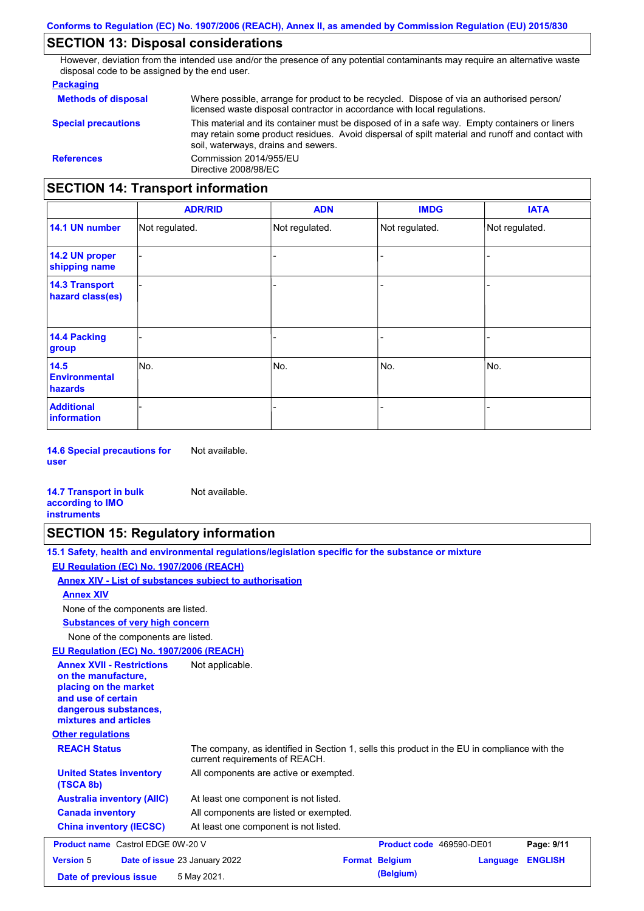### **SECTION 13: Disposal considerations**

However, deviation from the intended use and/or the presence of any potential contaminants may require an alternative waste disposal code to be assigned by the end user.

#### **Packaging**

| <b>Methods of disposal</b>               | Where possible, arrange for product to be recycled. Dispose of via an authorised person/<br>licensed waste disposal contractor in accordance with local regulations.                                                                    |  |  |  |
|------------------------------------------|-----------------------------------------------------------------------------------------------------------------------------------------------------------------------------------------------------------------------------------------|--|--|--|
| <b>Special precautions</b>               | This material and its container must be disposed of in a safe way. Empty containers or liners<br>may retain some product residues. Avoid dispersal of spilt material and runoff and contact with<br>soil, waterways, drains and sewers. |  |  |  |
| <b>References</b>                        | Commission 2014/955/EU<br>Directive 2008/98/EC                                                                                                                                                                                          |  |  |  |
| <b>SECTION 14: Transport information</b> |                                                                                                                                                                                                                                         |  |  |  |

#### - - - - - - - - - Not regulated. Not regulated. Not regulated. - - - **ADR/RID IMDG IATA 14.1 UN number 14.2 UN proper shipping name 14.3 Transport hazard class(es) 14.4 Packing group ADN Additional information 14.5 Environmental hazards** No. 1980 | No. 1980 | No. 1980 | No. 1980 | No. 1980 | No. 1980 | No. 1980 | No. 1980 | No. 1980 | No. 1980 | Not regulated. - No. - -

**14.6 Special precautions for user** Not available.

#### **14.7 Transport in bulk according to IMO instruments**

### **SECTION 15: Regulatory information**

Not available.

| 15.1 Safety, health and environmental regulations/legislation specific for the substance or mixture                                                                         |
|-----------------------------------------------------------------------------------------------------------------------------------------------------------------------------|
| EU Regulation (EC) No. 1907/2006 (REACH)                                                                                                                                    |
| Annex XIV - List of substances subject to authorisation                                                                                                                     |
| <b>Annex XIV</b>                                                                                                                                                            |
| None of the components are listed.                                                                                                                                          |
| <b>Substances of very high concern</b>                                                                                                                                      |
| None of the components are listed.                                                                                                                                          |
| EU Regulation (EC) No. 1907/2006 (REACH)                                                                                                                                    |
| <b>Annex XVII - Restrictions</b><br>Not applicable.<br>on the manufacture.<br>placing on the market<br>and use of certain<br>dangerous substances,<br>mixtures and articles |

### **Other regulations**

| <b>REACH Status</b>                         | The company, as identified in Section 1, sells this product in the EU in compliance with the<br>current requirements of REACH. |
|---------------------------------------------|--------------------------------------------------------------------------------------------------------------------------------|
| <b>United States inventory</b><br>(TSCA 8b) | All components are active or exempted.                                                                                         |
| <b>Australia inventory (AIIC)</b>           | At least one component is not listed.                                                                                          |
| <b>Canada inventory</b>                     | All components are listed or exempted.                                                                                         |
| <b>China inventory (IECSC)</b>              | At least one component is not listed.                                                                                          |

| <b>Product name</b> Castrol EDGE 0W-20 V |  |                                      | <b>Product code</b> 469590-DE01 | Page: 9/11            |                         |  |
|------------------------------------------|--|--------------------------------------|---------------------------------|-----------------------|-------------------------|--|
| <b>Version 5</b>                         |  | <b>Date of issue 23 January 2022</b> |                                 | <b>Format Belgium</b> | <b>Language ENGLISH</b> |  |
| Date of previous issue                   |  | 5 May 2021.                          |                                 | (Belgium)             |                         |  |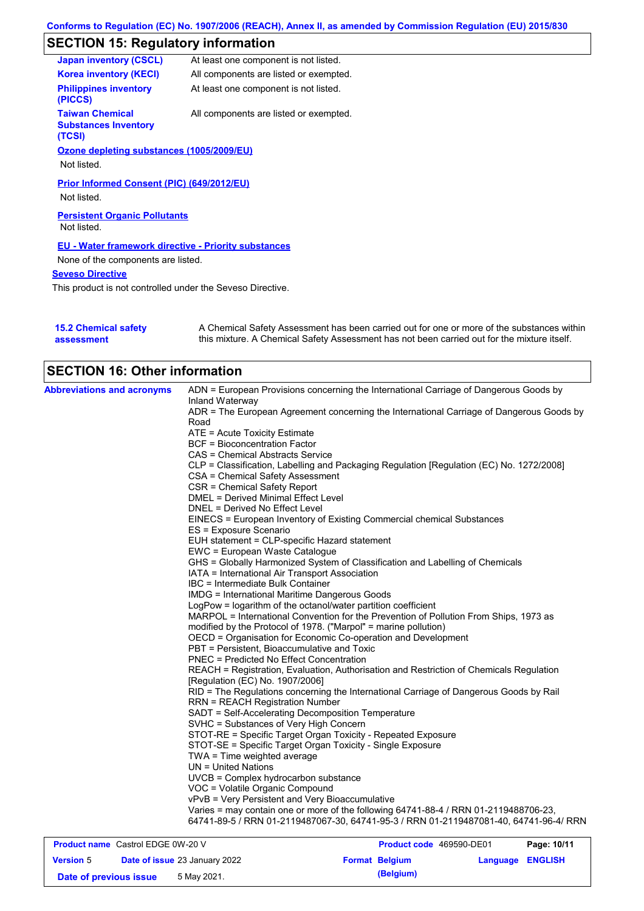# **SECTION 15: Regulatory information**

| <b>Japan inventory (CSCL)</b>                                   | At least one component is not listed.  |
|-----------------------------------------------------------------|----------------------------------------|
| <b>Korea inventory (KECI)</b>                                   | All components are listed or exempted. |
| <b>Philippines inventory</b><br>(PICCS)                         | At least one component is not listed.  |
| <b>Taiwan Chemical</b><br><b>Substances Inventory</b><br>(TCSI) | All components are listed or exempted. |
| Ozone depleting substances (1005/2009/EU)                       |                                        |
| Not listed.                                                     |                                        |
| Prior Informed Consent (PIC) (649/2012/EU)                      |                                        |
| Not listed.                                                     |                                        |
| <b>Persistent Organic Pollutants</b><br>Not listed.             |                                        |
| <b>EU - Water framework directive - Priority substances</b>     |                                        |
| None of the components are listed.                              |                                        |
| <b>Seveso Directive</b>                                         |                                        |
|                                                                 |                                        |

This product is not controlled under the Seveso Directive.

| <b>15.2 Chemical safety</b> | A Chemical Safety Assessment has been carried out for one or more of the substances within  |
|-----------------------------|---------------------------------------------------------------------------------------------|
| assessment                  | this mixture. A Chemical Safety Assessment has not been carried out for the mixture itself. |

| <b>SECTION 16: Other information</b>     |                                                                                                          |
|------------------------------------------|----------------------------------------------------------------------------------------------------------|
| <b>Abbreviations and acronyms</b>        | ADN = European Provisions concerning the International Carriage of Dangerous Goods by<br>Inland Waterway |
|                                          | ADR = The European Agreement concerning the International Carriage of Dangerous Goods by                 |
|                                          | Road                                                                                                     |
|                                          | ATE = Acute Toxicity Estimate                                                                            |
|                                          | <b>BCF</b> = Bioconcentration Factor                                                                     |
|                                          | CAS = Chemical Abstracts Service                                                                         |
|                                          | CLP = Classification, Labelling and Packaging Regulation [Regulation (EC) No. 1272/2008]                 |
|                                          | CSA = Chemical Safety Assessment                                                                         |
|                                          | CSR = Chemical Safety Report                                                                             |
|                                          | DMEL = Derived Minimal Effect Level                                                                      |
|                                          | DNEL = Derived No Effect Level                                                                           |
|                                          | EINECS = European Inventory of Existing Commercial chemical Substances                                   |
|                                          | ES = Exposure Scenario                                                                                   |
|                                          | EUH statement = CLP-specific Hazard statement                                                            |
|                                          | EWC = European Waste Catalogue                                                                           |
|                                          | GHS = Globally Harmonized System of Classification and Labelling of Chemicals                            |
|                                          | IATA = International Air Transport Association                                                           |
|                                          | IBC = Intermediate Bulk Container                                                                        |
|                                          | <b>IMDG</b> = International Maritime Dangerous Goods                                                     |
|                                          | LogPow = logarithm of the octanol/water partition coefficient                                            |
|                                          | MARPOL = International Convention for the Prevention of Pollution From Ships, 1973 as                    |
|                                          | modified by the Protocol of 1978. ("Marpol" = marine pollution)                                          |
|                                          | OECD = Organisation for Economic Co-operation and Development                                            |
|                                          | PBT = Persistent, Bioaccumulative and Toxic                                                              |
|                                          | PNEC = Predicted No Effect Concentration                                                                 |
|                                          | REACH = Registration, Evaluation, Authorisation and Restriction of Chemicals Regulation                  |
|                                          | [Regulation (EC) No. 1907/2006]                                                                          |
|                                          | RID = The Regulations concerning the International Carriage of Dangerous Goods by Rail                   |
|                                          | <b>RRN = REACH Registration Number</b>                                                                   |
|                                          | SADT = Self-Accelerating Decomposition Temperature                                                       |
|                                          | SVHC = Substances of Very High Concern                                                                   |
|                                          | STOT-RE = Specific Target Organ Toxicity - Repeated Exposure                                             |
|                                          | STOT-SE = Specific Target Organ Toxicity - Single Exposure                                               |
|                                          | $TWA = Time weighted average$                                                                            |
|                                          | $UN = United Nations$                                                                                    |
|                                          | UVCB = Complex hydrocarbon substance                                                                     |
|                                          | VOC = Volatile Organic Compound                                                                          |
|                                          | vPvB = Very Persistent and Very Bioaccumulative                                                          |
|                                          | Varies = may contain one or more of the following 64741-88-4 / RRN 01-2119488706-23,                     |
|                                          | 64741-89-5 / RRN 01-2119487067-30, 64741-95-3 / RRN 01-2119487081-40, 64741-96-4/ RRN                    |
| <b>Product name</b> Castrol EDGE 0W-20 V | Product code 469590-DE01<br>Page: 10/11                                                                  |

| <b>Product name</b> Castrol EDGE UW-20 V |  |                               |  | <b>Product code</b> 409090-DEUT | Page: 10/11      |  |
|------------------------------------------|--|-------------------------------|--|---------------------------------|------------------|--|
| <b>Version 5</b>                         |  | Date of issue 23 January 2022 |  | <b>Format Belgium</b>           | Language ENGLISH |  |
| Date of previous issue                   |  | 5 May 2021.                   |  | (Belgium)                       |                  |  |